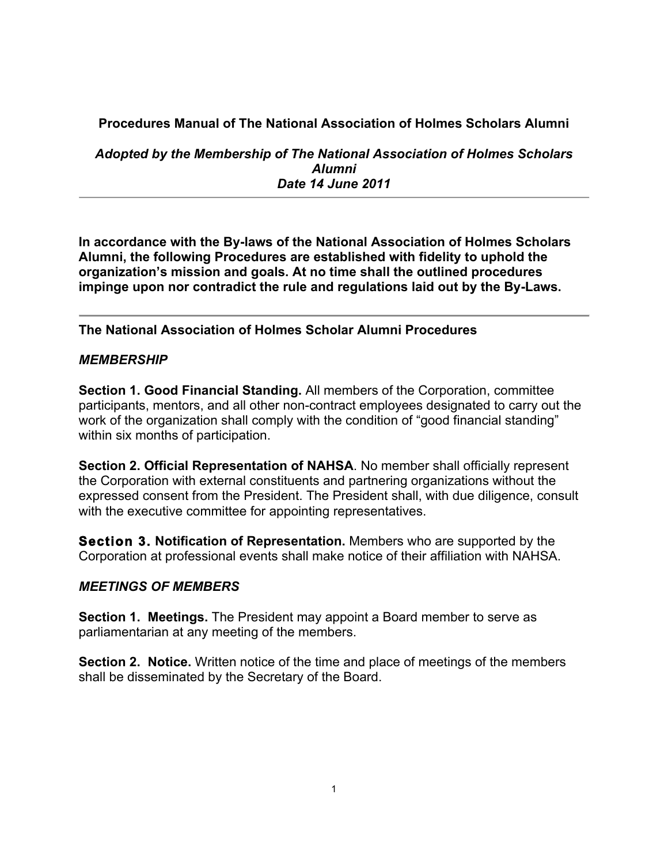# **Procedures Manual of The National Association of Holmes Scholars Alumni**

*Adopted by the Membership of The National Association of Holmes Scholars Alumni Date 14 June 2011*

**In accordance with the By-laws of the National Association of Holmes Scholars Alumni, the following Procedures are established with fidelity to uphold the organization's mission and goals. At no time shall the outlined procedures impinge upon nor contradict the rule and regulations laid out by the By-Laws.** 

## **The National Association of Holmes Scholar Alumni Procedures**

## *MEMBERSHIP*

**Section 1. Good Financial Standing.** All members of the Corporation, committee participants, mentors, and all other non-contract employees designated to carry out the work of the organization shall comply with the condition of "good financial standing" within six months of participation.

**Section 2. Official Representation of NAHSA**. No member shall officially represent the Corporation with external constituents and partnering organizations without the expressed consent from the President. The President shall, with due diligence, consult with the executive committee for appointing representatives.

**Section 3. Notification of Representation.** Members who are supported by the Corporation at professional events shall make notice of their affiliation with NAHSA.

#### *MEETINGS OF MEMBERS*

**Section 1. Meetings.** The President may appoint a Board member to serve as parliamentarian at any meeting of the members.

**Section 2. Notice.** Written notice of the time and place of meetings of the members shall be disseminated by the Secretary of the Board.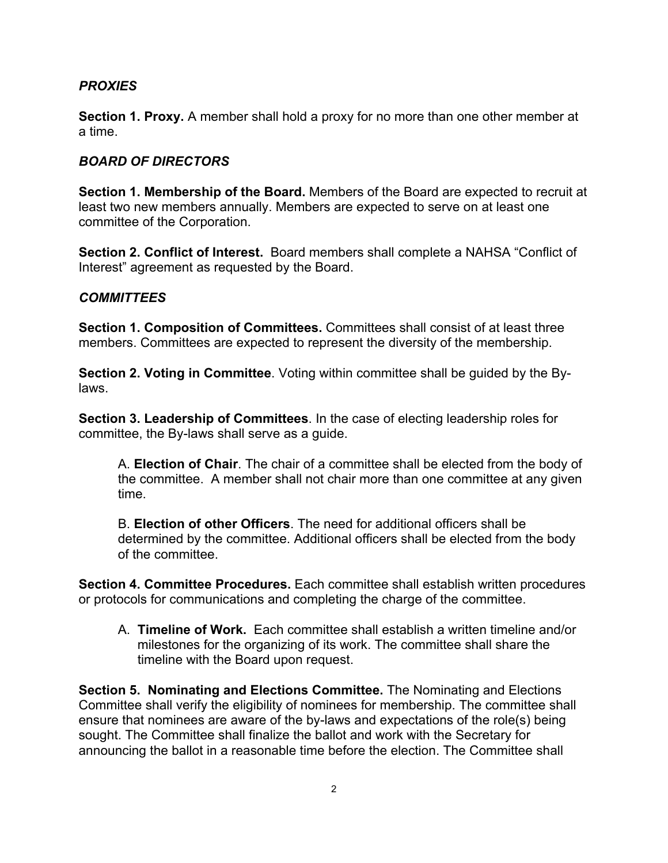### *PROXIES*

**Section 1. Proxy.** A member shall hold a proxy for no more than one other member at a time.

#### *BOARD OF DIRECTORS*

**Section 1. Membership of the Board.** Members of the Board are expected to recruit at least two new members annually. Members are expected to serve on at least one committee of the Corporation.

**Section 2. Conflict of Interest.** Board members shall complete a NAHSA "Conflict of Interest" agreement as requested by the Board.

#### *COMMITTEES*

**Section 1. Composition of Committees.** Committees shall consist of at least three members. Committees are expected to represent the diversity of the membership.

**Section 2. Voting in Committee**. Voting within committee shall be guided by the Bylaws.

**Section 3. Leadership of Committees**. In the case of electing leadership roles for committee, the By-laws shall serve as a guide.

A. **Election of Chair**. The chair of a committee shall be elected from the body of the committee. A member shall not chair more than one committee at any given time.

B. **Election of other Officers**. The need for additional officers shall be determined by the committee. Additional officers shall be elected from the body of the committee.

**Section 4. Committee Procedures.** Each committee shall establish written procedures or protocols for communications and completing the charge of the committee.

A. **Timeline of Work.** Each committee shall establish a written timeline and/or milestones for the organizing of its work. The committee shall share the timeline with the Board upon request.

**Section 5. Nominating and Elections Committee.** The Nominating and Elections Committee shall verify the eligibility of nominees for membership. The committee shall ensure that nominees are aware of the by-laws and expectations of the role(s) being sought. The Committee shall finalize the ballot and work with the Secretary for announcing the ballot in a reasonable time before the election. The Committee shall